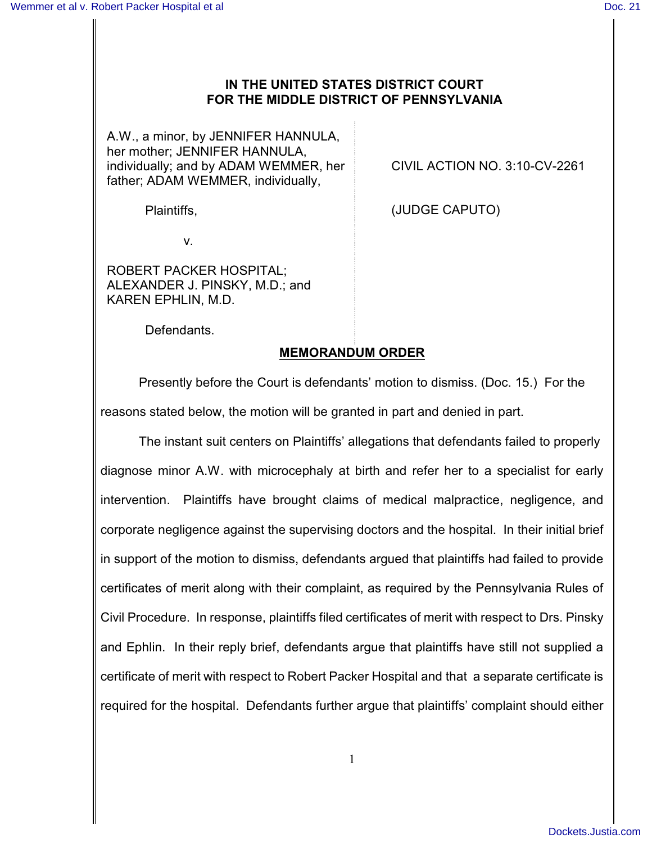## **IN THE UNITED STATES DISTRICT COURT FOR THE MIDDLE DISTRICT OF PENNSYLVANIA**

A.W., a minor, by JENNIFER HANNULA, her mother; JENNIFER HANNULA, individually; and by ADAM WEMMER, her father; ADAM WEMMER, individually,

CIVIL ACTION NO. 3:10-CV-2261

Plaintiffs,  $(JUDGE CAPUTO)$ 

v.

ROBERT PACKER HOSPITAL; ALEXANDER J. PINSKY, M.D.; and KAREN EPHLIN, M.D.

Defendants.

## **MEMORANDUM ORDER**

Presently before the Court is defendants' motion to dismiss. (Doc. 15.) For the reasons stated below, the motion will be granted in part and denied in part.

The instant suit centers on Plaintiffs' allegations that defendants failed to properly diagnose minor A.W. with microcephaly at birth and refer her to a specialist for early intervention. Plaintiffs have brought claims of medical malpractice, negligence, and corporate negligence against the supervising doctors and the hospital. In their initial brief in support of the motion to dismiss, defendants argued that plaintiffs had failed to provide certificates of merit along with their complaint, as required by the Pennsylvania Rules of Civil Procedure. In response, plaintiffs filed certificates of merit with respect to Drs. Pinsky and Ephlin. In their reply brief, defendants argue that plaintiffs have still not supplied a certificate of merit with respect to Robert Packer Hospital and that a separate certificate is required for the hospital. Defendants further argue that plaintiffs' complaint should either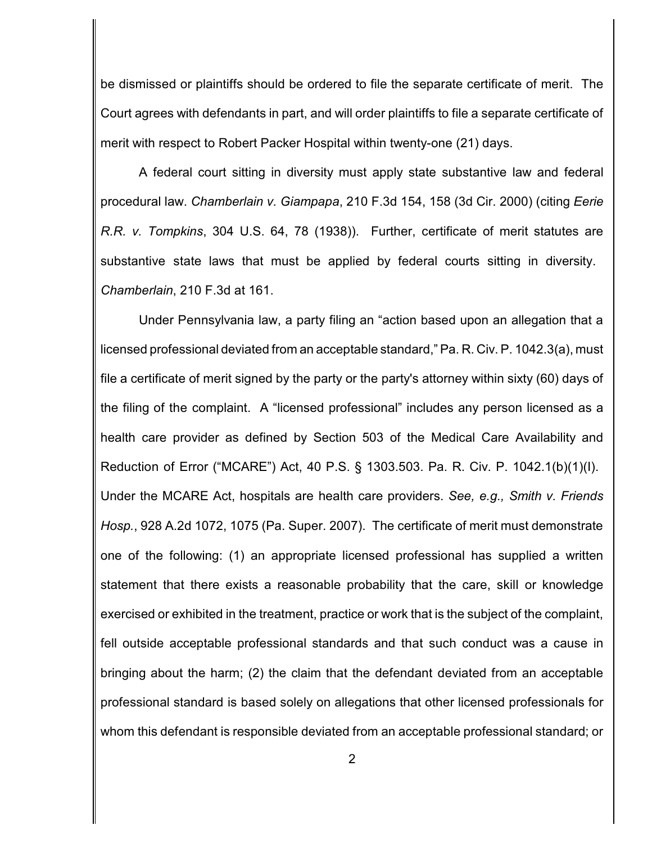be dismissed or plaintiffs should be ordered to file the separate certificate of merit. The Court agrees with defendants in part, and will order plaintiffs to file a separate certificate of merit with respect to Robert Packer Hospital within twenty-one (21) days.

A federal court sitting in diversity must apply state substantive law and federal procedural law. *Chamberlain v. Giampapa*, 210 F.3d 154, 158 (3d Cir. 2000) (citing *Eerie R.R. v. Tompkins*, 304 U.S. 64, 78 (1938)). Further, certificate of merit statutes are substantive state laws that must be applied by federal courts sitting in diversity. *Chamberlain*, 210 F.3d at 161.

Under Pennsylvania law, a party filing an "action based upon an allegation that a licensed professional deviated from an acceptable standard," Pa. R. Civ. P. 1042.3(a), must file a certificate of merit signed by the party or the party's attorney within sixty (60) days of the filing of the complaint. A "licensed professional" includes any person licensed as a health care provider as defined by Section 503 of the Medical Care Availability and Reduction of Error ("MCARE") Act, 40 P.S. § 1303.503. Pa. R. Civ. P. 1042.1(b)(1)(I). Under the MCARE Act, hospitals are health care providers. *See, e.g., Smith v. Friends Hosp.*, 928 A.2d 1072, 1075 (Pa. Super. 2007). The certificate of merit must demonstrate one of the following: (1) an appropriate licensed professional has supplied a written statement that there exists a reasonable probability that the care, skill or knowledge exercised or exhibited in the treatment, practice or work that is the subject of the complaint, fell outside acceptable professional standards and that such conduct was a cause in bringing about the harm; (2) the claim that the defendant deviated from an acceptable professional standard is based solely on allegations that other licensed professionals for whom this defendant is responsible deviated from an acceptable professional standard; or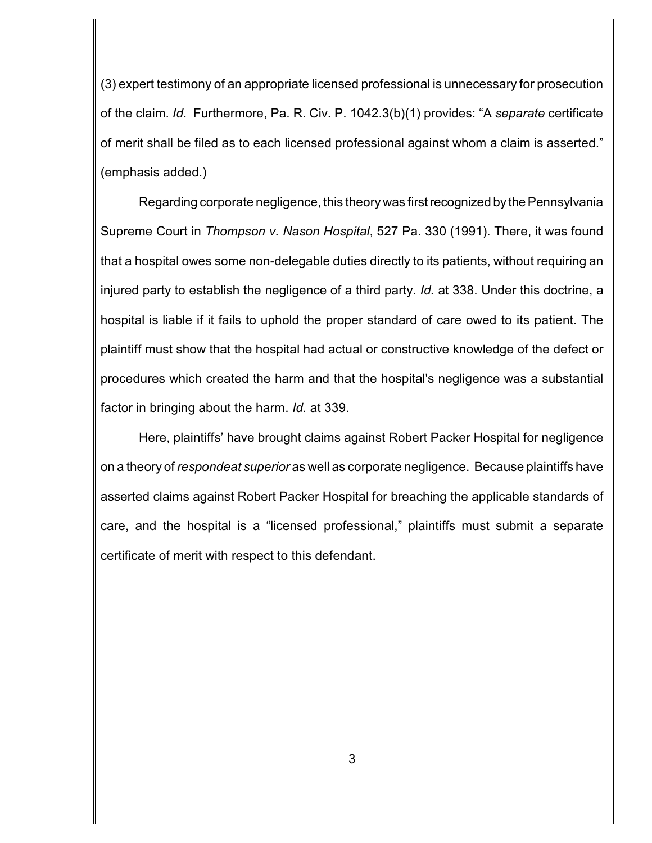(3) expert testimony of an appropriate licensed professional is unnecessary for prosecution of the claim. *Id*. Furthermore, Pa. R. Civ. P. 1042.3(b)(1) provides: "A *separate* certificate of merit shall be filed as to each licensed professional against whom a claim is asserted." (emphasis added.)

Regarding corporate negligence, this theory was first recognized by the Pennsylvania Supreme Court in *Thompson v. Nason Hospital*, 527 Pa. 330 (1991). There, it was found that a hospital owes some non-delegable duties directly to its patients, without requiring an injured party to establish the negligence of a third party. *Id.* at 338. Under this doctrine, a hospital is liable if it fails to uphold the proper standard of care owed to its patient. The plaintiff must show that the hospital had actual or constructive knowledge of the defect or procedures which created the harm and that the hospital's negligence was a substantial factor in bringing about the harm. *Id.* at 339.

Here, plaintiffs' have brought claims against Robert Packer Hospital for negligence on a theory of *respondeat superior* as well as corporate negligence. Because plaintiffs have asserted claims against Robert Packer Hospital for breaching the applicable standards of care, and the hospital is a "licensed professional," plaintiffs must submit a separate certificate of merit with respect to this defendant.